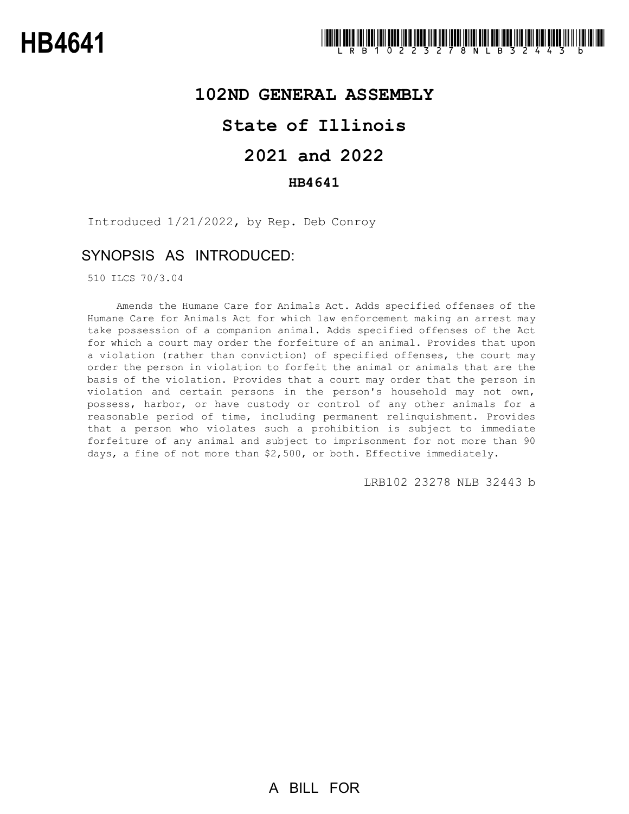## **102ND GENERAL ASSEMBLY**

## **State of Illinois**

# **2021 and 2022**

## **HB4641**

Introduced 1/21/2022, by Rep. Deb Conroy

## SYNOPSIS AS INTRODUCED:

510 ILCS 70/3.04

Amends the Humane Care for Animals Act. Adds specified offenses of the Humane Care for Animals Act for which law enforcement making an arrest may take possession of a companion animal. Adds specified offenses of the Act for which a court may order the forfeiture of an animal. Provides that upon a violation (rather than conviction) of specified offenses, the court may order the person in violation to forfeit the animal or animals that are the basis of the violation. Provides that a court may order that the person in violation and certain persons in the person's household may not own, possess, harbor, or have custody or control of any other animals for a reasonable period of time, including permanent relinquishment. Provides that a person who violates such a prohibition is subject to immediate forfeiture of any animal and subject to imprisonment for not more than 90 days, a fine of not more than \$2,500, or both. Effective immediately.

LRB102 23278 NLB 32443 b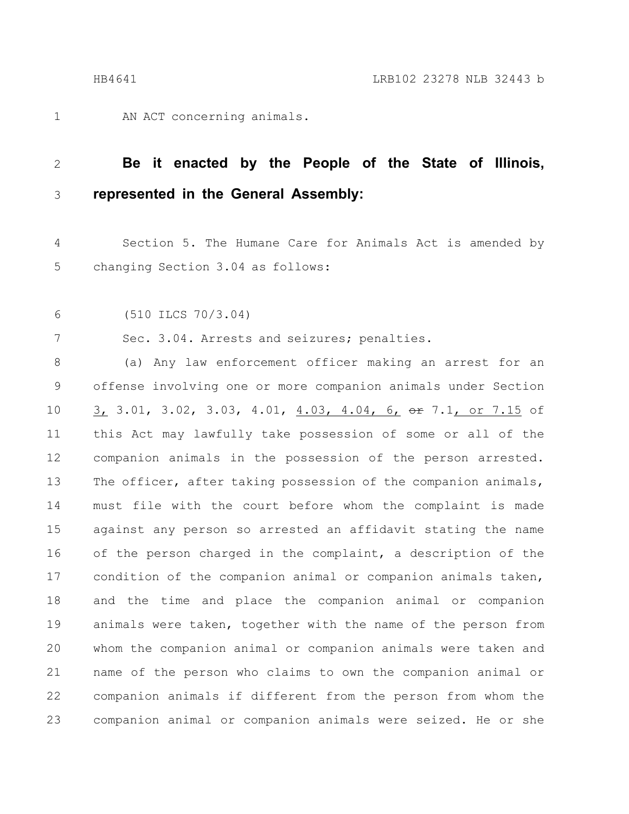AN ACT concerning animals. 1

### **Be it enacted by the People of the State of Illinois, represented in the General Assembly:** 2 3

Section 5. The Humane Care for Animals Act is amended by changing Section 3.04 as follows: 4 5

(510 ILCS 70/3.04) 6

7

Sec. 3.04. Arrests and seizures; penalties.

(a) Any law enforcement officer making an arrest for an offense involving one or more companion animals under Section 3, 3.01, 3.02, 3.03, 4.01, 4.03, 4.04, 6, or 7.1, or 7.15 of this Act may lawfully take possession of some or all of the companion animals in the possession of the person arrested. The officer, after taking possession of the companion animals, must file with the court before whom the complaint is made against any person so arrested an affidavit stating the name of the person charged in the complaint, a description of the condition of the companion animal or companion animals taken, and the time and place the companion animal or companion animals were taken, together with the name of the person from whom the companion animal or companion animals were taken and name of the person who claims to own the companion animal or companion animals if different from the person from whom the companion animal or companion animals were seized. He or she 8 9 10 11 12 13 14 15 16 17 18 19 20 21 22 23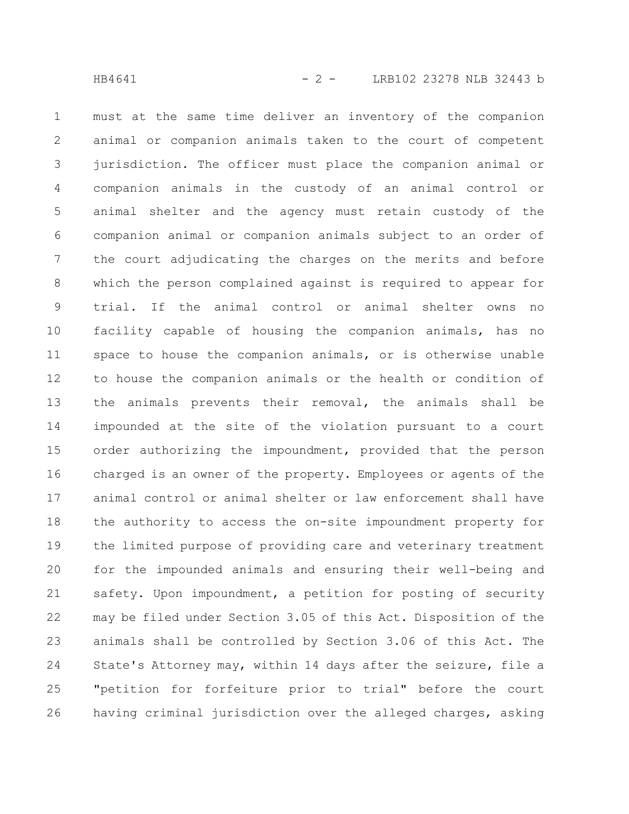must at the same time deliver an inventory of the companion animal or companion animals taken to the court of competent jurisdiction. The officer must place the companion animal or companion animals in the custody of an animal control or animal shelter and the agency must retain custody of the companion animal or companion animals subject to an order of the court adjudicating the charges on the merits and before which the person complained against is required to appear for trial. If the animal control or animal shelter owns no facility capable of housing the companion animals, has no space to house the companion animals, or is otherwise unable to house the companion animals or the health or condition of the animals prevents their removal, the animals shall be impounded at the site of the violation pursuant to a court order authorizing the impoundment, provided that the person charged is an owner of the property. Employees or agents of the animal control or animal shelter or law enforcement shall have the authority to access the on-site impoundment property for the limited purpose of providing care and veterinary treatment for the impounded animals and ensuring their well-being and safety. Upon impoundment, a petition for posting of security may be filed under Section 3.05 of this Act. Disposition of the animals shall be controlled by Section 3.06 of this Act. The State's Attorney may, within 14 days after the seizure, file a "petition for forfeiture prior to trial" before the court having criminal jurisdiction over the alleged charges, asking 1 2 3 4 5 6 7 8 9 10 11 12 13 14 15 16 17 18 19 20 21 22 23 24 25 26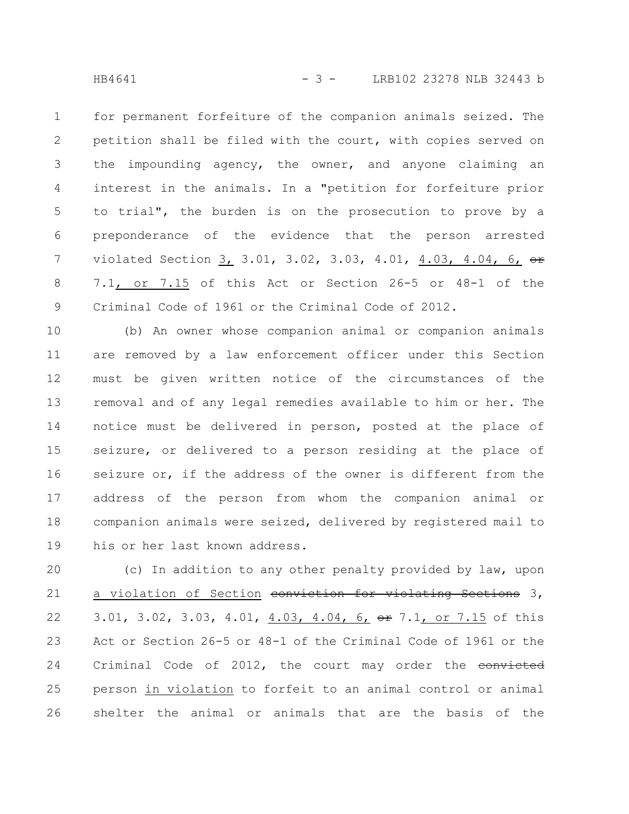for permanent forfeiture of the companion animals seized. The petition shall be filed with the court, with copies served on the impounding agency, the owner, and anyone claiming an interest in the animals. In a "petition for forfeiture prior to trial", the burden is on the prosecution to prove by a preponderance of the evidence that the person arrested violated Section 3, 3.01, 3.02, 3.03, 4.01, 4.03, 4.04, 6, or 7.1, or 7.15 of this Act or Section 26-5 or 48-1 of the Criminal Code of 1961 or the Criminal Code of 2012. 1 2 3 4 5 6 7 8 9

(b) An owner whose companion animal or companion animals are removed by a law enforcement officer under this Section must be given written notice of the circumstances of the removal and of any legal remedies available to him or her. The notice must be delivered in person, posted at the place of seizure, or delivered to a person residing at the place of seizure or, if the address of the owner is different from the address of the person from whom the companion animal or companion animals were seized, delivered by registered mail to his or her last known address. 10 11 12 13 14 15 16 17 18 19

(c) In addition to any other penalty provided by law, upon a violation of Section conviction for violating Sections 3, 3.01, 3.02, 3.03, 4.01, 4.03, 4.04, 6, or 7.1, or 7.15 of this Act or Section 26-5 or 48-1 of the Criminal Code of 1961 or the Criminal Code of 2012, the court may order the convicted person in violation to forfeit to an animal control or animal shelter the animal or animals that are the basis of the 20 21 22 23 24 25 26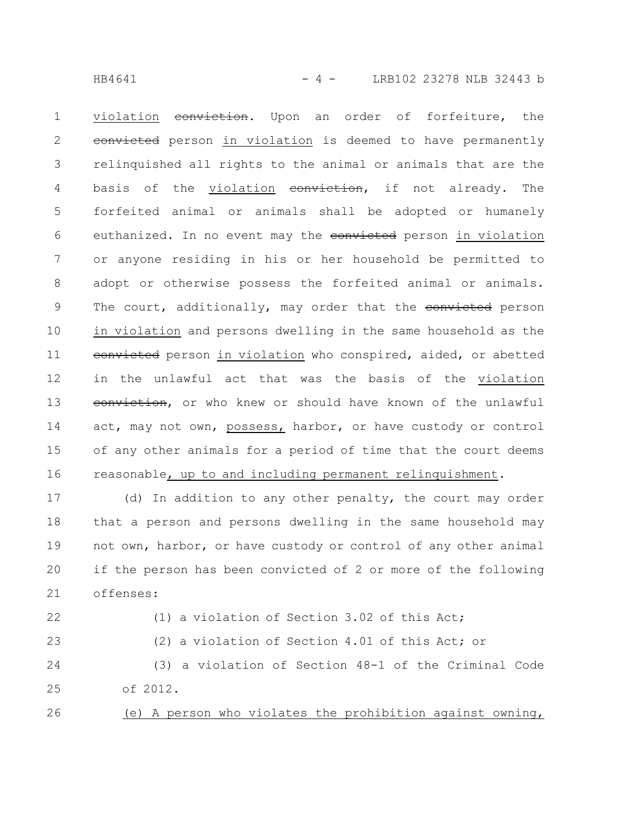HB4641 - 4 - LRB102 23278 NLB 32443 b

violation conviction. Upon an order of forfeiture, the eonvicted person in violation is deemed to have permanently relinquished all rights to the animal or animals that are the basis of the violation conviction, if not already. The forfeited animal or animals shall be adopted or humanely euthanized. In no event may the convicted person in violation or anyone residing in his or her household be permitted to adopt or otherwise possess the forfeited animal or animals. The court, additionally, may order that the convicted person in violation and persons dwelling in the same household as the eonvicted person in violation who conspired, aided, or abetted in the unlawful act that was the basis of the violation eonviction, or who knew or should have known of the unlawful act, may not own, possess, harbor, or have custody or control of any other animals for a period of time that the court deems reasonable, up to and including permanent relinquishment. 1 2 3 4 5 6 7 8 9 10 11 12 13 14 15 16

(d) In addition to any other penalty, the court may order that a person and persons dwelling in the same household may not own, harbor, or have custody or control of any other animal if the person has been convicted of 2 or more of the following offenses: 17 18 19 20 21

22

23

(1) a violation of Section 3.02 of this Act; (2) a violation of Section 4.01 of this Act; or

(3) a violation of Section 48-1 of the Criminal Code of 2012. 24 25

(e) A person who violates the prohibition against owning, 26